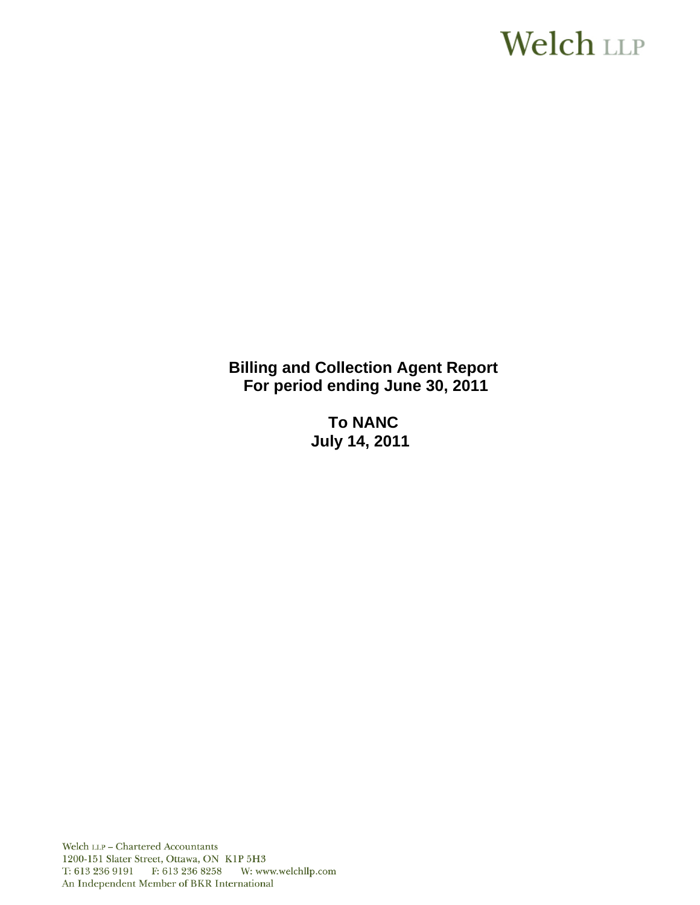# **Welch LLP**

**Billing and Collection Agent Report For period ending June 30, 2011** 

> **To NANC July 14, 2011**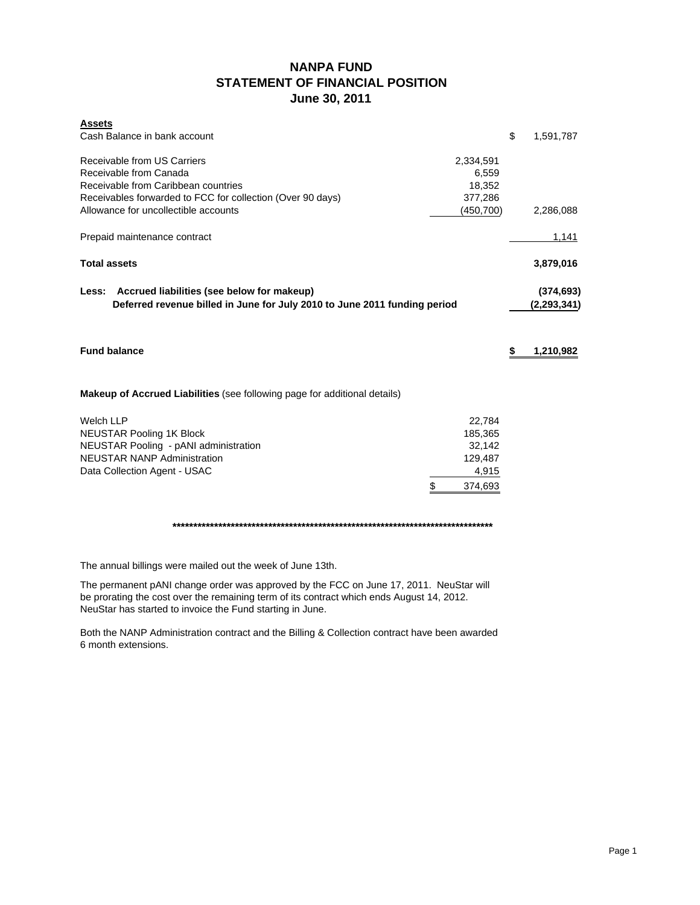# **NANPA FUND STATEMENT OF FINANCIAL POSITION June 30, 2011**

| <b>Assets</b>                                                                                                                    |            |                             |
|----------------------------------------------------------------------------------------------------------------------------------|------------|-----------------------------|
| Cash Balance in bank account                                                                                                     |            | \$<br>1,591,787             |
| Receivable from US Carriers                                                                                                      | 2,334,591  |                             |
| Receivable from Canada                                                                                                           |            |                             |
| Receivable from Caribbean countries                                                                                              |            |                             |
| Receivables forwarded to FCC for collection (Over 90 days)                                                                       |            |                             |
| Allowance for uncollectible accounts                                                                                             | (450, 700) | 2,286,088                   |
| Prepaid maintenance contract                                                                                                     |            | 1,141                       |
| <b>Total assets</b>                                                                                                              |            | 3,879,016                   |
| Accrued liabilities (see below for makeup)<br>Less:<br>Deferred revenue billed in June for July 2010 to June 2011 funding period |            | (374, 693)<br>(2, 293, 341) |
| <b>Fund balance</b>                                                                                                              |            | \$<br>1,210,982             |
|                                                                                                                                  |            |                             |
| Makeup of Accrued Liabilities (see following page for additional details)                                                        |            |                             |
| <b>Welch LLP</b>                                                                                                                 | 22,784     |                             |
| <b>NEUSTAR Pooling 1K Block</b>                                                                                                  | 185,365    |                             |
| NEUSTAR Pooling - pANI administration                                                                                            | 32,142     |                             |
| <b>NEUSTAR NANP Administration</b>                                                                                               | 129,487    |                             |
| Data Collection Agent - USAC                                                                                                     | 4,915      |                             |
| \$                                                                                                                               | 374,693    |                             |
|                                                                                                                                  |            |                             |

The annual billings were mailed out the week of June 13th.

The permanent pANI change order was approved by the FCC on June 17, 2011. NeuStar will be prorating the cost over the remaining term of its contract which ends August 14, 2012. NeuStar has started to invoice the Fund starting in June.

Both the NANP Administration contract and the Billing & Collection contract have been awarded 6 month extensions.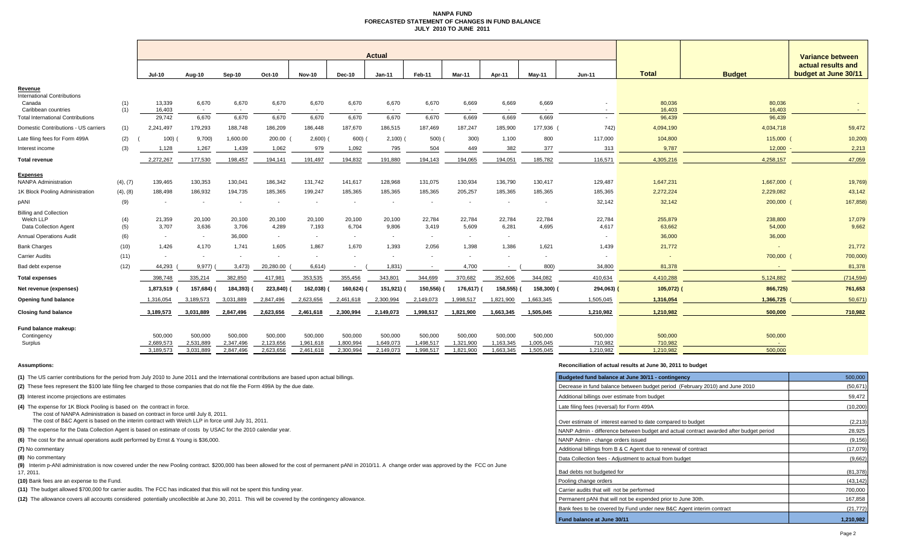#### **NANPA FUND FORECASTED STATEMENT OF CHANGES IN FUND BALANCEJULY 2010 TO JUNE 2011**

|                                                                            |            | <b>Actual</b>            |                          |                          |                          |                          |                 |                          |                          |                          |                          |                          |                 |                   |                   | <b>Variance between</b>                    |  |
|----------------------------------------------------------------------------|------------|--------------------------|--------------------------|--------------------------|--------------------------|--------------------------|-----------------|--------------------------|--------------------------|--------------------------|--------------------------|--------------------------|-----------------|-------------------|-------------------|--------------------------------------------|--|
|                                                                            |            | <b>Jul-10</b>            | Aug-10                   | Sep-10                   | Oct-10                   | <b>Nov-10</b>            | <b>Dec-10</b>   | $Jan-11$                 | Feb-11                   | Mar-11                   | Apr-11                   | <b>Mav-11</b>            | <b>Jun-11</b>   | <b>Total</b>      | <b>Budget</b>     | actual results and<br>budget at June 30/11 |  |
| Revenue                                                                    |            |                          |                          |                          |                          |                          |                 |                          |                          |                          |                          |                          |                 |                   |                   |                                            |  |
| <b>International Contributions</b><br>Canada<br>Caribbean countries        | (1)<br>(1) | 13,339<br>16,403         | 6,670<br>$\sim$          | 6,670                    | 6,670                    | 6,670                    | 6,670           | 6,670                    | 6,670                    | 6,669                    | 6,669                    | 6,669                    |                 | 80,036<br>16,403  | 80,036<br>16.403  | $\sim$                                     |  |
| <b>Total International Contributions</b>                                   |            | 29,742                   | 6,670                    | 6,670                    | 6,670                    | 6,670                    | 6,670           | 6,670                    | 6,670                    | 6,669                    | 6.669                    | 6,669                    |                 | 96,439            | 96,439            |                                            |  |
| Domestic Contributions - US carriers                                       | (1)        | 2,241,497                | 179,293                  | 188,748                  | 186,209                  | 186,448                  | 187,670         | 186,515                  | 187,469                  | 187,247                  | 185,900                  | 177,936                  | 742)            | 4,094,190         | 4,034,718         | 59,472                                     |  |
| Late filing fees for Form 499A                                             | (2)        | 100)                     | 9,700                    | 1,600.00                 | 200.00                   | 2,600                    | 600)            | 2,100                    | 500)                     | 300)                     | 1,100                    | 800                      | 117,000         | 104,800           | 115,000           | 10,200                                     |  |
| Interest income                                                            | (3)        | 1,128                    | 1,267                    | 1,439                    | 1,062                    | 979                      | 1,092           | 795                      | 504                      | 449                      | 382                      | 377                      | 313             | 9,787             | 12,000            | 2,213                                      |  |
| <b>Total revenue</b>                                                       |            | 2,272,267                | 177,530                  | 198,457                  | 194,141                  | 191,497                  | 194,832         | 191,880                  | 194,143                  | 194,065                  | 194,051                  | 185,782                  | 116,571         | 4,305,216         | 4,258,157         | 47,059                                     |  |
| Expenses                                                                   |            |                          |                          |                          |                          |                          |                 |                          |                          |                          |                          |                          |                 |                   |                   |                                            |  |
| <b>NANPA Administration</b>                                                | (4), (7)   | 139,465                  | 130,353                  | 130,041                  | 186,342                  | 131,742                  | 141,617         | 128,968                  | 131,075                  | 130,934                  | 136,790                  | 130,417                  | 129,487         | 1,647,231         | 1,667,000         | 19,769)                                    |  |
| 1K Block Pooling Administration                                            | (4), (8)   | 188,498                  | 186,932                  | 194,735                  | 185,365                  | 199,247                  | 185,365         | 185,365                  | 185,365                  | 205,257                  | 185,365                  | 185,365                  | 185,365         | 2,272,224         | 2,229,082         | 43,142                                     |  |
| <b>DANI</b>                                                                | (9)        |                          | $\overline{\phantom{a}}$ | $\overline{\phantom{a}}$ |                          | $\overline{\phantom{a}}$ |                 | $\overline{\phantom{a}}$ | $\overline{\phantom{a}}$ | $\overline{\phantom{a}}$ | $\overline{\phantom{a}}$ | $\overline{\phantom{a}}$ | 32,142          | 32,142            | 200,000           | 167,858)                                   |  |
| <b>Billing and Collection</b><br>Welch LLP<br><b>Data Collection Agent</b> | (4)<br>(5) | 21,359<br>3,707          | 20,100<br>3,636          | 20,100<br>3,706          | 20,100<br>4,289          | 20,100<br>7,193          | 20,100<br>6,704 | 20,100<br>9,806          | 22,784<br>3,419          | 22,784<br>5,609          | 22,784<br>6,281          | 22,784<br>4,695          | 22,784<br>4,617 | 255,879<br>63,662 | 238,800<br>54,000 | 17,079<br>9,662                            |  |
| <b>Annual Operations Audit</b>                                             | (6)        | $\sim$                   | $\sim$                   | 36,000                   | $\sim$                   | $\sim$                   | $\sim$          | $\sim$                   | $\sim$                   | $\sim$                   | $\overline{\phantom{a}}$ |                          |                 | 36,000            | 36,000            |                                            |  |
| <b>Bank Charges</b>                                                        | (10)       | 1.426                    | 4.170                    | 1.741                    | 1.605                    | 1.867                    | 1.670           | 1.393                    | 2,056                    | 1.398                    | 1.386                    | 1,621                    | 1,439           | 21,772            | $\sim$            | 21,772                                     |  |
| <b>Carrier Audits</b>                                                      | (11)       | $\overline{\phantom{a}}$ | $\sim$                   | $\sim$                   | $\overline{\phantom{a}}$ | $\sim$                   |                 | $\overline{\phantom{a}}$ | $\overline{\phantom{a}}$ | $\overline{\phantom{a}}$ |                          | $\overline{\phantom{a}}$ |                 | $\overline{a}$    | 700,000           | 700,000)                                   |  |
| Bad debt expense                                                           | (12)       | 44,293                   | 9,977                    | 3,473                    | 20,280.00                | 6,614)                   |                 | 1,831                    |                          | 4,700                    |                          | 800                      | 34,800          | 81,378            |                   | 81,378                                     |  |
| <b>Total expenses</b>                                                      |            | 398,748                  | 335,214                  | 382,850                  | 417,981                  | 353,535                  | 355,456         | 343,801                  | 344,699                  | 370,682                  | 352,606                  | 344,082                  | 410,634         | 4,410,288         | 5,124,882         | (714, 594)                                 |  |
| Net revenue (expenses)                                                     |            | 1,873,519                | 157,684)                 | 184,393)                 | 223,840)                 | 162,038)                 | 160,624)        | 151,921) (               | 150,556)                 | 176,617)                 | 158,555)                 | 158,300) (               | 294,063)        | $105,072$ )       | 866,725)          | 761,653                                    |  |
| Opening fund balance                                                       |            | 1,316,054                | 3,189,573                | 3,031,889                | 2,847,496                | 2,623,656                | 2,461,618       | 2,300,994                | 2,149,073                | 1,998,517                | 1,821,900                | 1,663,345                | 1,505,045       | 1,316,054         | 1,366,725         | 50,671                                     |  |
| <b>Closing fund balance</b>                                                |            | 3,189,573                | 3.031.889                | 2,847,496                | 2.623.656                | 2,461,618                | 2,300,994       | 2,149,073                | 1,998,517                | 1,821,900                | 1,663,345                | 1,505,045                | 1,210,982       | 1,210,982         | 500,000           | 710,982                                    |  |
| Fund balance makeup:<br>Contingency                                        |            | 500,000                  | 500,000                  | 500,000                  | 500,000                  | 500,000                  | 500,000         | 500,000                  | 500,000                  | 500,000                  | 500,000                  | 500,000                  | 500,000         | 500,000           | 500,000           |                                            |  |
| Surplus                                                                    |            | 2,689,573                | 2,531,889                | 2,347,496                | 2,123,656                | 1,961,618                | 1.800.994       | 1,649,073                | 1,498,517                | 1,321,900                | 1,163,345                | 1,005,045                | 710,982         | 710.982           |                   |                                            |  |
|                                                                            |            | 3,189,573                | 3,031,889                | 2,847,496                | 2,623,656                | 2,461,618                | 2,300,994       | 2,149,073                | 1,998,517                | 1,821,900                | 1,663,345                | 1,505,045                | 1.210.982       | 1,210,982         | 500,000           |                                            |  |

#### **Assumptions: Reconciliation of actual results at June 30, 2011 to budget**

| (1) The US carrier contributions for the period from July 2010 to June 2011 and the International contributions are based upon actual billings.                                                                   | Budgeted fund balance at June 30/11 - contingency                                      | 500,000   |
|-------------------------------------------------------------------------------------------------------------------------------------------------------------------------------------------------------------------|----------------------------------------------------------------------------------------|-----------|
| (2) These fees represent the \$100 late filing fee charged to those companies that do not file the Form 499A by the due date.                                                                                     | Decrease in fund balance between budget period (February 2010) and June 2010           | (50, 671) |
| (3) Interest income projections are estimates                                                                                                                                                                     | Additional billings over estimate from budget                                          | 59,472    |
| (4) The expense for 1K Block Pooling is based on the contract in force.<br>The cost of NANPA Administration is based on contract in force until July 8, 2011.                                                     | Late filing fees (reversal) for Form 499A                                              | (10, 200) |
| The cost of B&C Agent is based on the interim contract with Welch LLP in force until July 31, 2011.                                                                                                               | Over estimate of interest earned to date compared to budget                            | (2, 213)  |
| (5) The expense for the Data Collection Agent is based on estimate of costs by USAC for the 2010 calendar year.                                                                                                   | NANP Admin - difference between budget and actual contract awarded after budget period | 28,925    |
| (6) The cost for the annual operations audit performed by Ernst & Young is \$36,000.                                                                                                                              | NANP Admin - change orders issued                                                      | (9, 156)  |
| (7) No commentary                                                                                                                                                                                                 | Additional billings from B & C Agent due to renewal of contract                        | (17,079)  |
| (8) No commentary                                                                                                                                                                                                 | Data Collection fees - Adiustment to actual from budget                                | (9,662)   |
| (9) Interim p-ANI administration is now covered under the new Pooling contract. \$200,000 has been allowed for the cost of permanent pANI in 2010/11. A change order was approved by the FCC on June<br>17. 2011. | Bad debts not budgeted for                                                             | (81, 378) |
| (10) Bank fees are an expense to the Fund.                                                                                                                                                                        | Pooling change orders                                                                  | (43, 142) |
| (11) The budget allowed \$700,000 for carrier audits. The FCC has indicated that this will not be spent this funding year.                                                                                        | Carrier audits that will not be performed                                              | 700,000   |
| (12) The allowance covers all accounts considered potentially uncollectible at June 30, 2011. This will be covered by the contingency allowance.                                                                  | Permanent pANi that will not be expended prior to June 30th.                           | 167,858   |
|                                                                                                                                                                                                                   | Bank fees to be covered by Fund under new B&C Agent interim contract                   | (21, 772) |
|                                                                                                                                                                                                                   | Fund balance at June 30/11                                                             | 1,210,982 |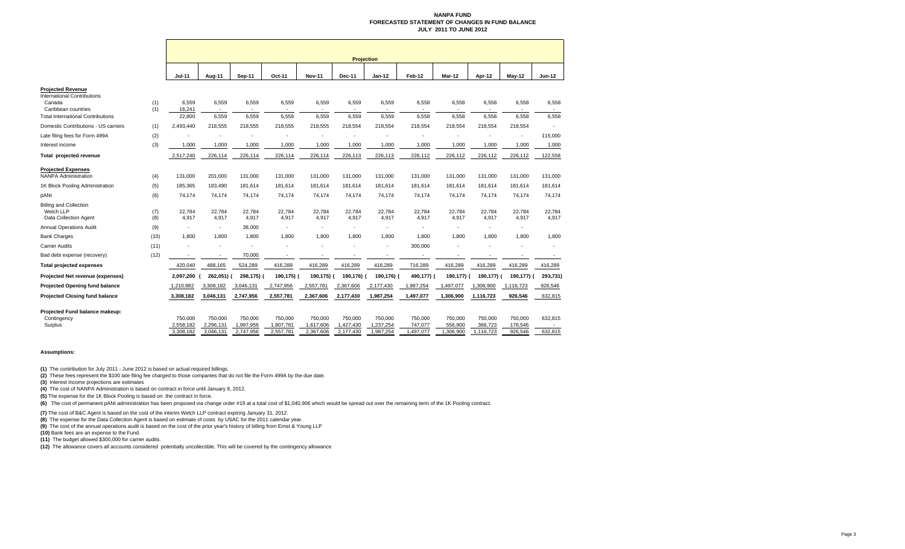#### **NANPA FUND FORECASTED STATEMENT OF CHANGES IN FUND BALANCEJULY 2011 TO JUNE 2012**

|                                                                                                                                             |            | <b>Projection</b>         |                          |                                  |                          |                 |                 |                                  |                          |                          |                 |                 |                          |
|---------------------------------------------------------------------------------------------------------------------------------------------|------------|---------------------------|--------------------------|----------------------------------|--------------------------|-----------------|-----------------|----------------------------------|--------------------------|--------------------------|-----------------|-----------------|--------------------------|
|                                                                                                                                             |            | <b>Jul-11</b>             | Aug-11                   | <b>Sep-11</b>                    | Oct-11                   | <b>Nov-11</b>   | <b>Dec-11</b>   | $Jan-12$                         | Feb-12                   | Mar-12                   | Apr-12          | <b>May-12</b>   | <b>Jun-12</b>            |
| <b>Projected Revenue</b><br><b>International Contributions</b><br>Canada<br>Caribbean countries<br><b>Total International Contributions</b> | (1)<br>(1) | 6,559<br>16,241<br>22,800 | 6,559<br>$\sim$<br>6,559 | 6,559<br>$\overline{a}$<br>6,559 | 6,559<br>$\sim$<br>6,559 | 6,559<br>6,559  | 6,559<br>6,559  | 6,559<br>$\blacksquare$<br>6,559 | 6,558<br>6,558           | 6,558<br>$\sim$<br>6,558 | 6,558<br>6,558  | 6,558<br>6,558  | 6,558<br>$\sim$<br>6,558 |
| Domestic Contributions - US carriers                                                                                                        | (1)        | 2,493,440                 | 218,555                  | 218,555                          | 218,555                  | 218,555         | 218,554         | 218,554                          | 218,554                  | 218,554                  | 218,554         | 218,554         |                          |
| Late filing fees for Form 499A                                                                                                              | (2)        |                           |                          |                                  |                          |                 |                 |                                  |                          |                          |                 | ٠               | 115,000                  |
| Interest income                                                                                                                             | (3)        | 1,000                     | 1,000                    | 1,000                            | 1,000                    | 1,000           | 1,000           | 1,000                            | 1,000                    | 1,000                    | 1,000           | 1,000           | 1,000                    |
| Total projected revenue                                                                                                                     |            | 2,517,240                 | 226,114                  | 226,114                          | 226,114                  | 226,114         | 226,113         | 226,113                          | 226,112                  | 226,112                  | 226,112         | 226,112         | 122,558                  |
| <b>Projected Expenses</b><br><b>NANPA Administration</b>                                                                                    | (4)        | 131,000                   | 201,000                  | 131,000                          | 131,000                  | 131,000         | 131,000         | 131,000                          | 131,000                  | 131,000                  | 131,000         | 131,000         | 131,000                  |
| 1K Block Pooling Administration                                                                                                             | (5)        | 185,365                   | 183,490                  | 181,614                          | 181,614                  | 181,614         | 181,614         | 181,614                          | 181,614                  | 181,614                  | 181,614         | 181,614         | 181,614                  |
| pANI                                                                                                                                        | (6)        | 74,174                    | 74,174                   | 74,174                           | 74,174                   | 74,174          | 74,174          | 74,174                           | 74,174                   | 74,174                   | 74,174          | 74,174          | 74,174                   |
| <b>Billing and Collection</b><br>Welch LLP<br>Data Collection Agent                                                                         | (7)<br>(8) | 22,784<br>4,917           | 22,784<br>4,917          | 22,784<br>4,917                  | 22,784<br>4,917          | 22,784<br>4,917 | 22,784<br>4,917 | 22,784<br>4,917                  | 22,784<br>4,917          | 22,784<br>4,917          | 22,784<br>4,917 | 22,784<br>4,917 | 22,784<br>4,917          |
| <b>Annual Operations Audit</b>                                                                                                              | (9)        | $\overline{\phantom{a}}$  | $\overline{\phantom{a}}$ | 38,000                           |                          |                 |                 | $\blacksquare$                   |                          | $\overline{\phantom{a}}$ |                 |                 |                          |
| <b>Bank Charges</b>                                                                                                                         | (10)       | 1,800                     | 1,800                    | 1,800                            | 1,800                    | 1,800           | 1,800           | 1,800                            | 1,800                    | 1,800                    | 1,800           | 1,800           | 1,800                    |
| <b>Carrier Audits</b>                                                                                                                       | (11)       |                           |                          |                                  |                          |                 |                 | ٠                                | 300,000                  |                          |                 |                 |                          |
| Bad debt expense (recovery)                                                                                                                 | (12)       |                           |                          | 70,000                           |                          |                 |                 |                                  | $\overline{\phantom{a}}$ |                          |                 |                 |                          |
| <b>Total projected expenses</b>                                                                                                             |            | 420,040                   | 488,165                  | 524,289                          | 416,289                  | 416,289         | 416,289         | 416,289                          | 716,289                  | 416,289                  | 416,289         | 416,289         | 416,289                  |
| Projected Net revenue (expenses)                                                                                                            |            | 2,097,200                 | 262,051) (               | 298,175) (                       | 190,175) (               | 190,175) (      | 190,176)        | 190,176) (                       | 490,177) (               | 190,177)                 | 190,177) (      | 190,177) (      | 293,731)                 |
| <b>Projected Opening fund balance</b>                                                                                                       |            | 1,210,982                 | 3,308,182                | 3,046,131                        | 2,747,956                | 2,557,781       | 2,367,606       | 2,177,430                        | 1,987,254                | 1,497,077                | 1,306,900       | 1,116,723       | 926,546                  |
| <b>Projected Closing fund balance</b>                                                                                                       |            | 3,308,182                 | 3,046,131                | 2,747,956                        | 2,557,781                | 2,367,606       | 2,177,430       | 1,987,254                        | 1,497,077                | 1,306,900                | 1,116,723       | 926,546         | 632,815                  |
| Projected Fund balance makeup:<br>Contingency                                                                                               |            | 750,000                   | 750,000                  | 750,000                          | 750,000                  | 750,000         | 750,000         | 750,000                          | 750,000                  | 750,000                  | 750,000         | 750,000         | 632,815                  |
| Surplus                                                                                                                                     |            | 2,558,182                 | 2,296,131                | 1,997,956                        | 1,807,781                | 1,617,606       | 1,427,430       | 1,237,254                        | 747,077                  | 556,900                  | 366,723         | 176,546         |                          |
|                                                                                                                                             |            | 3.308.182                 | 3.046.131                | 2,747,956                        | 2,557,781                | 2,367,606       | 2.177.430       | 1,987,254                        | 1,497,077                | 306,900                  | 1,116,723       | 926.546         | 632.815                  |

#### **Assumptions:**

**(1)** The contribution for July 2011 - June 2012 is based on actual required billings.

**(2)** These fees represent the \$100 late filing fee charged to those companies that do not file the Form 499A by the due date.

**(3)** Interest income projections are estimates

**(4)** The cost of NANPA Administration is based on contract in force until January 8, 2012.

**(5)** The expense for the 1K Block Pooling is based on the contract in force.

**(6)** The cost of permanent pANI administration has been proposed via change order #19 at a total cost of \$1,040,906 which would be spread out over the remaining term of the 1K Pooling contract.

**(7)** The cost of B&C Agent is based on the cost of the interim Welch LLP contract expiring January 31, 2012.

**(8)** The expense for the Data Collection Agent is based on estimate of costs by USAC for the 2011 calendar year.

**(9)** The cost of the annual operations audit is based on the cost of the prior year's history of billing from Ernst & Young LLP

**(10)** Bank fees are an expense to the Fund.

**(11)** The budget allowed \$300,000 for carrier audits.

**(12)** The allowance covers all accounts considered potentially uncollectible. This will be covered by the contingency allowance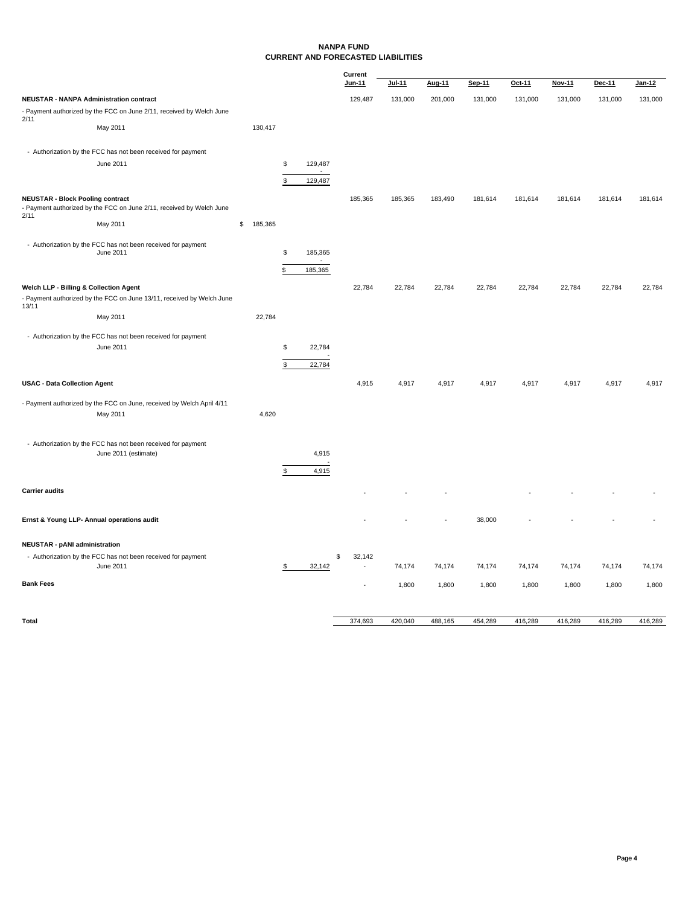#### **NANPA FUND CURRENT AND FORECASTED LIABILITIES**

|                                                 |                                                                                      |               |               |         | Current      |         |         |         |         |         |         |               |
|-------------------------------------------------|--------------------------------------------------------------------------------------|---------------|---------------|---------|--------------|---------|---------|---------|---------|---------|---------|---------------|
|                                                 |                                                                                      |               |               |         | Jun-11       | Jul-11  | Aug-11  | Sep-11  | Oct-11  | Nov-11  | Dec-11  | <u>Jan-12</u> |
| <b>NEUSTAR - NANPA Administration contract</b>  |                                                                                      |               |               |         | 129,487      | 131,000 | 201,000 | 131,000 | 131,000 | 131,000 | 131,000 | 131,000       |
|                                                 | - Payment authorized by the FCC on June 2/11, received by Welch June                 |               |               |         |              |         |         |         |         |         |         |               |
| 2/11                                            | May 2011                                                                             | 130,417       |               |         |              |         |         |         |         |         |         |               |
|                                                 |                                                                                      |               |               |         |              |         |         |         |         |         |         |               |
|                                                 | - Authorization by the FCC has not been received for payment                         |               |               |         |              |         |         |         |         |         |         |               |
|                                                 | June 2011                                                                            |               | \$            | 129,487 |              |         |         |         |         |         |         |               |
|                                                 |                                                                                      |               | \$            |         |              |         |         |         |         |         |         |               |
|                                                 |                                                                                      |               |               | 129,487 |              |         |         |         |         |         |         |               |
| <b>NEUSTAR - Block Pooling contract</b><br>2/11 | - Payment authorized by the FCC on June 2/11, received by Welch June                 |               |               |         | 185,365      | 185,365 | 183,490 | 181,614 | 181,614 | 181,614 | 181,614 | 181,614       |
|                                                 | May 2011                                                                             | \$<br>185,365 |               |         |              |         |         |         |         |         |         |               |
|                                                 |                                                                                      |               |               |         |              |         |         |         |         |         |         |               |
|                                                 | - Authorization by the FCC has not been received for payment<br>June 2011            |               | $\mathsf{\$}$ | 185,365 |              |         |         |         |         |         |         |               |
|                                                 |                                                                                      |               |               |         |              |         |         |         |         |         |         |               |
|                                                 |                                                                                      |               | \$            | 185,365 |              |         |         |         |         |         |         |               |
| Welch LLP - Billing & Collection Agent          |                                                                                      |               |               |         | 22,784       | 22,784  | 22,784  | 22,784  | 22,784  | 22,784  | 22,784  | 22,784        |
| 13/11                                           | - Payment authorized by the FCC on June 13/11, received by Welch June                |               |               |         |              |         |         |         |         |         |         |               |
|                                                 | May 2011                                                                             | 22,784        |               |         |              |         |         |         |         |         |         |               |
|                                                 | - Authorization by the FCC has not been received for payment                         |               |               |         |              |         |         |         |         |         |         |               |
|                                                 | June 2011                                                                            |               | \$            | 22,784  |              |         |         |         |         |         |         |               |
|                                                 |                                                                                      |               | \$            | 22,784  |              |         |         |         |         |         |         |               |
|                                                 |                                                                                      |               |               |         |              |         |         |         |         |         |         |               |
| <b>USAC - Data Collection Agent</b>             |                                                                                      |               |               |         | 4,915        | 4,917   | 4,917   | 4,917   | 4,917   | 4,917   | 4,917   | 4,917         |
|                                                 | - Payment authorized by the FCC on June, received by Welch April 4/11                |               |               |         |              |         |         |         |         |         |         |               |
|                                                 | May 2011                                                                             | 4,620         |               |         |              |         |         |         |         |         |         |               |
|                                                 |                                                                                      |               |               |         |              |         |         |         |         |         |         |               |
|                                                 |                                                                                      |               |               |         |              |         |         |         |         |         |         |               |
|                                                 | - Authorization by the FCC has not been received for payment<br>June 2011 (estimate) |               |               | 4,915   |              |         |         |         |         |         |         |               |
|                                                 |                                                                                      |               |               |         |              |         |         |         |         |         |         |               |
|                                                 |                                                                                      |               | \$            | 4,915   |              |         |         |         |         |         |         |               |
| <b>Carrier audits</b>                           |                                                                                      |               |               |         |              |         |         |         |         |         |         |               |
|                                                 |                                                                                      |               |               |         |              |         |         |         |         |         |         |               |
| Ernst & Young LLP- Annual operations audit      |                                                                                      |               |               |         |              |         |         | 38,000  |         |         |         |               |
|                                                 |                                                                                      |               |               |         |              |         |         |         |         |         |         |               |
| <b>NEUSTAR - pANI administration</b>            |                                                                                      |               |               |         |              |         |         |         |         |         |         |               |
|                                                 | - Authorization by the FCC has not been received for payment                         |               |               |         | \$<br>32,142 |         |         |         |         |         |         |               |
|                                                 | June 2011                                                                            |               | \$            | 32,142  | $\sim$       | 74,174  | 74,174  | 74,174  | 74,174  | 74,174  | 74,174  | 74,174        |
| <b>Bank Fees</b>                                |                                                                                      |               |               |         |              | 1,800   | 1,800   | 1,800   | 1,800   | 1,800   | 1,800   | 1,800         |
|                                                 |                                                                                      |               |               |         |              |         |         |         |         |         |         |               |
|                                                 |                                                                                      |               |               |         |              |         |         |         |         |         |         |               |

**Total Total** 420,040 488,165 454,289 416,289 416,289 416,289 416,289 416,289 416,289 416,289 416,289